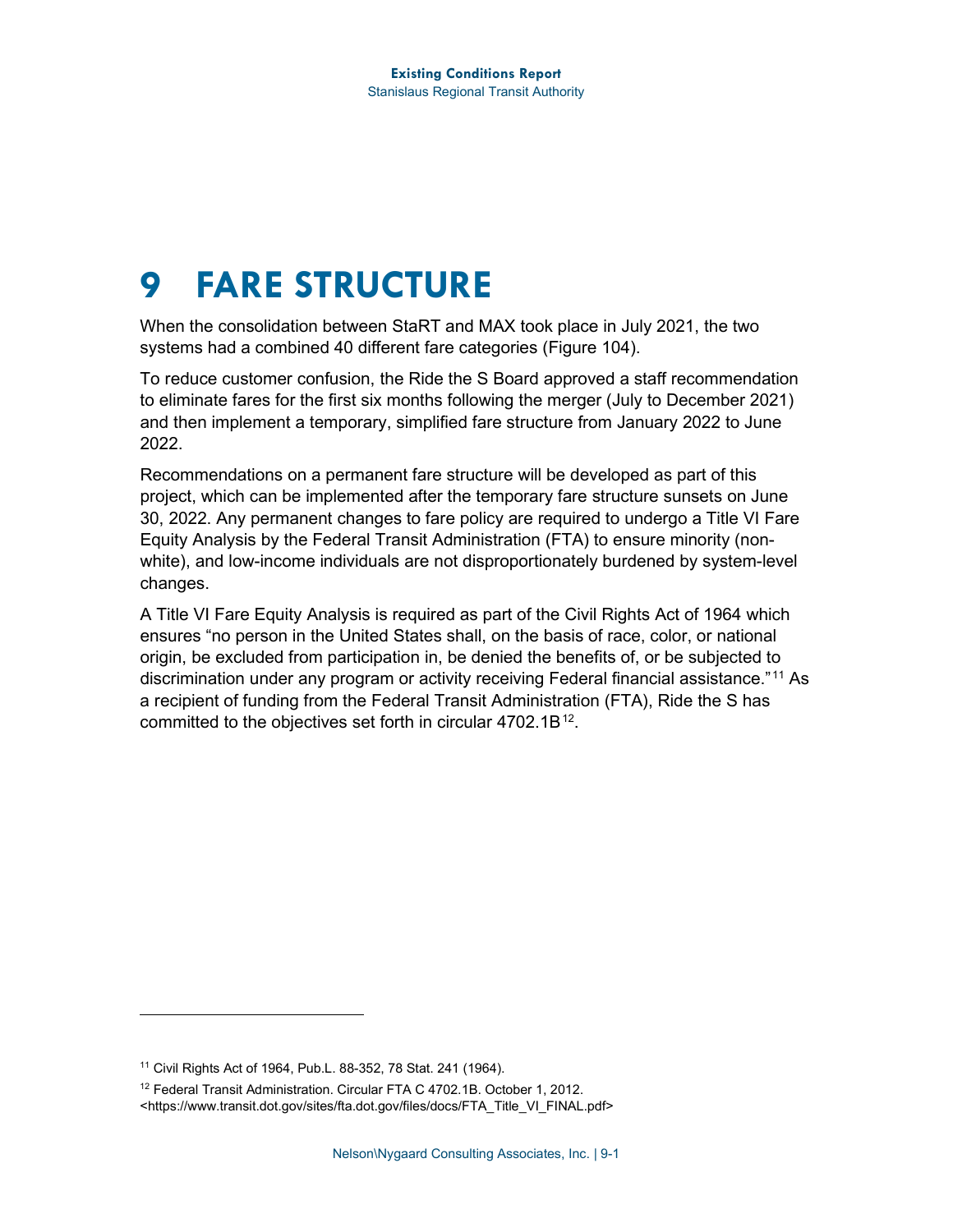# **9 FARE STRUCTURE**

When the consolidation between StaRT and MAX took place in July 2021, the two systems had a combined 40 different fare categories [\(Figure 104\)](#page-1-0).

To reduce customer confusion, the Ride the S Board approved a staff recommendation to eliminate fares for the first six months following the merger (July to December 2021) and then implement a temporary, simplified fare structure from January 2022 to June 2022.

Recommendations on a permanent fare structure will be developed as part of this project, which can be implemented after the temporary fare structure sunsets on June 30, 2022. Any permanent changes to fare policy are required to undergo a Title VI Fare Equity Analysis by the Federal Transit Administration (FTA) to ensure minority (nonwhite), and low-income individuals are not disproportionately burdened by system-level changes.

A Title VI Fare Equity Analysis is required as part of the Civil Rights Act of 1964 which ensures "no person in the United States shall, on the basis of race, color, or national origin, be excluded from participation in, be denied the benefits of, or be subjected to discrimination under any program or activity receiving Federal financial assistance." [11](#page-0-0) As a recipient of funding from the Federal Transit Administration (FTA), Ride the S has committed to the objectives set forth in circular  $4702.1B^{12}$  $4702.1B^{12}$  $4702.1B^{12}$ .

<span id="page-0-0"></span><sup>11</sup> Civil Rights Act of 1964, Pub.L. 88-352, 78 Stat. 241 (1964).

<span id="page-0-1"></span><sup>&</sup>lt;sup>12</sup> Federal Transit Administration. Circular FTA C 4702.1B. October 1, 2012. <https://www.transit.dot.gov/sites/fta.dot.gov/files/docs/FTA\_Title\_VI\_FINAL.pdf>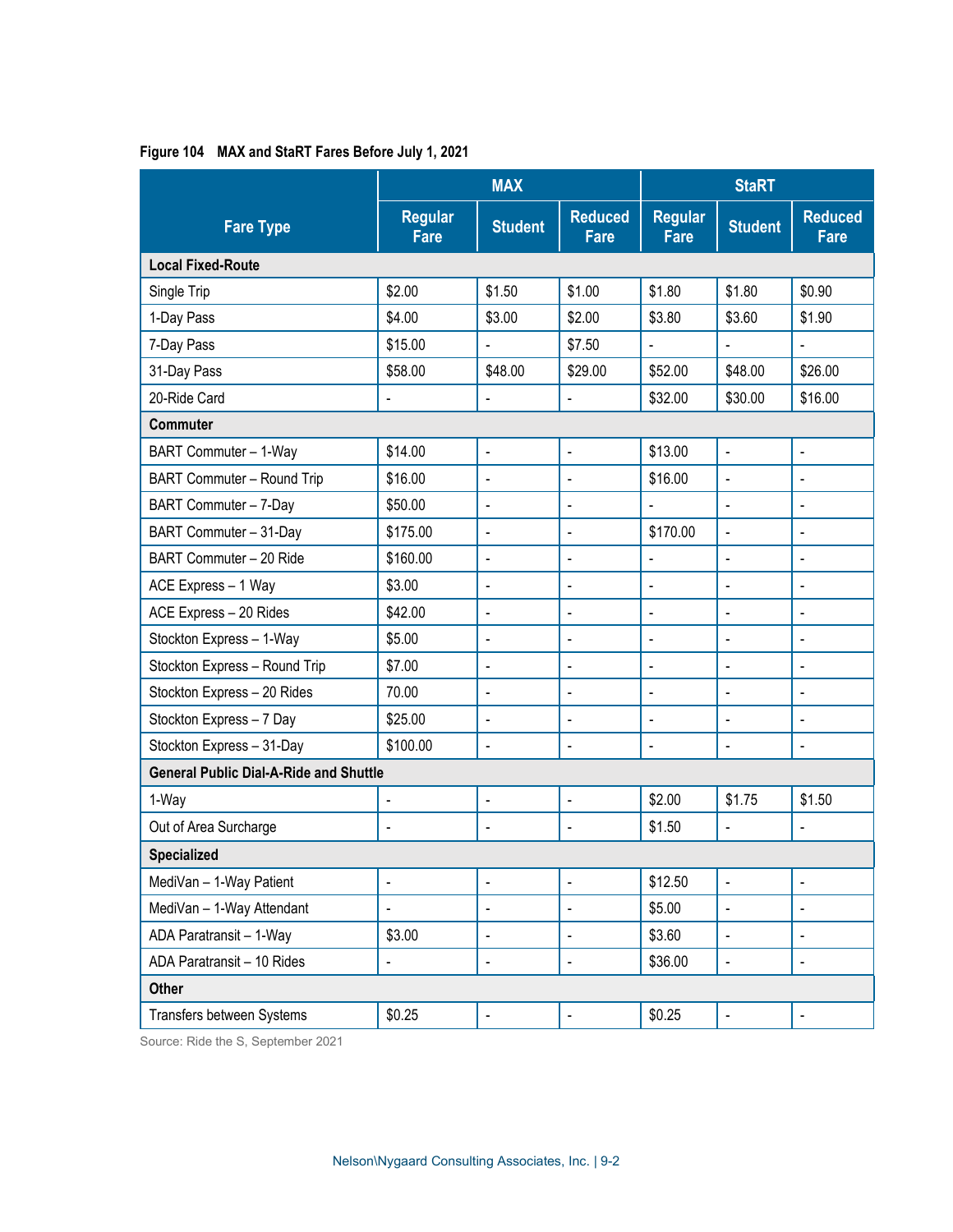|                                               | <b>MAX</b>                    |                              | <b>StaRT</b>                  |                               |                          |                               |  |  |
|-----------------------------------------------|-------------------------------|------------------------------|-------------------------------|-------------------------------|--------------------------|-------------------------------|--|--|
| <b>Fare Type</b>                              | <b>Regular</b><br><b>Fare</b> | <b>Student</b>               | <b>Reduced</b><br><b>Fare</b> | <b>Regular</b><br><b>Fare</b> | <b>Student</b>           | <b>Reduced</b><br><b>Fare</b> |  |  |
| <b>Local Fixed-Route</b>                      |                               |                              |                               |                               |                          |                               |  |  |
| Single Trip                                   | \$2.00                        | \$1.50                       | \$1.00                        | \$1.80                        | \$1.80                   | \$0.90                        |  |  |
| 1-Day Pass                                    | \$4.00                        | \$3.00                       | \$2.00                        | \$3.80                        | \$3.60                   | \$1.90                        |  |  |
| 7-Day Pass                                    | \$15.00                       |                              | \$7.50                        |                               |                          |                               |  |  |
| 31-Day Pass                                   | \$58.00                       | \$48.00                      | \$29.00                       | \$52.00                       | \$48.00                  | \$26.00                       |  |  |
| 20-Ride Card                                  | $\blacksquare$                | $\blacksquare$               | $\blacksquare$                | \$32.00                       | \$30.00                  | \$16.00                       |  |  |
| <b>Commuter</b>                               |                               |                              |                               |                               |                          |                               |  |  |
| BART Commuter - 1-Way                         | \$14.00                       | $\blacksquare$               | $\blacksquare$                | \$13.00                       | $\blacksquare$           | $\blacksquare$                |  |  |
| BART Commuter - Round Trip                    | \$16.00                       | $\blacksquare$               | ä,                            | \$16.00                       | ä,                       |                               |  |  |
| BART Commuter - 7-Day                         | \$50.00                       | ä,                           | $\blacksquare$                | $\frac{1}{2}$                 | ä,                       | $\blacksquare$                |  |  |
| BART Commuter - 31-Day                        | \$175.00                      | $\blacksquare$               | $\blacksquare$                | \$170.00                      |                          | $\blacksquare$                |  |  |
| BART Commuter - 20 Ride                       | \$160.00                      | $\overline{a}$               | $\ddot{\phantom{a}}$          |                               | L,                       | ä,                            |  |  |
| ACE Express - 1 Way                           | \$3.00                        | $\overline{\phantom{a}}$     | ä,                            | $\blacksquare$                | L,                       | $\blacksquare$                |  |  |
| ACE Express - 20 Rides                        | \$42.00                       | $\blacksquare$               | $\blacksquare$                | $\overline{\phantom{a}}$      | $\blacksquare$           | $\blacksquare$                |  |  |
| Stockton Express - 1-Way                      | \$5.00                        | ä,                           | $\blacksquare$                | $\blacksquare$                | ÷,                       | $\blacksquare$                |  |  |
| Stockton Express - Round Trip                 | \$7.00                        | ä,                           | ä,                            | $\blacksquare$                | L,                       | $\blacksquare$                |  |  |
| Stockton Express - 20 Rides                   | 70.00                         | $\blacksquare$               | $\blacksquare$                | $\blacksquare$                | L,                       | $\blacksquare$                |  |  |
| Stockton Express - 7 Day                      | \$25.00                       | $\blacksquare$               | $\blacksquare$                | $\blacksquare$                | $\blacksquare$           | $\blacksquare$                |  |  |
| Stockton Express - 31-Day                     | \$100.00                      | $\overline{a}$               | $\blacksquare$                | $\blacksquare$                | $\blacksquare$           | $\blacksquare$                |  |  |
| <b>General Public Dial-A-Ride and Shuttle</b> |                               |                              |                               |                               |                          |                               |  |  |
| 1-Way                                         | $\frac{1}{2}$                 | $\blacksquare$               | $\blacksquare$                | \$2.00                        | \$1.75                   | \$1.50                        |  |  |
| Out of Area Surcharge                         | $\blacksquare$                | $\blacksquare$               | $\blacksquare$                | \$1.50                        | ä,                       | $\blacksquare$                |  |  |
| <b>Specialized</b>                            |                               |                              |                               |                               |                          |                               |  |  |
| MediVan - 1-Way Patient                       | $\qquad \qquad \blacksquare$  | $\blacksquare$               | $\blacksquare$                | \$12.50                       | $\blacksquare$           | $\blacksquare$                |  |  |
| MediVan - 1-Way Attendant                     | $\blacksquare$                | $\blacksquare$               | $\blacksquare$                | \$5.00                        | $\frac{1}{2}$            | $\blacksquare$                |  |  |
| ADA Paratransit - 1-Way                       | \$3.00                        | $\blacksquare$               | $\blacksquare$                | \$3.60                        | -                        | $\blacksquare$                |  |  |
| ADA Paratransit - 10 Rides                    | $\overline{a}$                | $\qquad \qquad \blacksquare$ | $\qquad \qquad \blacksquare$  | \$36.00                       | ÷                        | $\blacksquare$                |  |  |
| Other                                         |                               |                              |                               |                               |                          |                               |  |  |
| Transfers between Systems                     | \$0.25                        | $\blacksquare$               | $\blacksquare$                | \$0.25                        | $\overline{\phantom{a}}$ | $\blacksquare$                |  |  |

#### <span id="page-1-0"></span>**Figure 104 MAX and StaRT Fares Before July 1, 2021**

Source: Ride the S, September 2021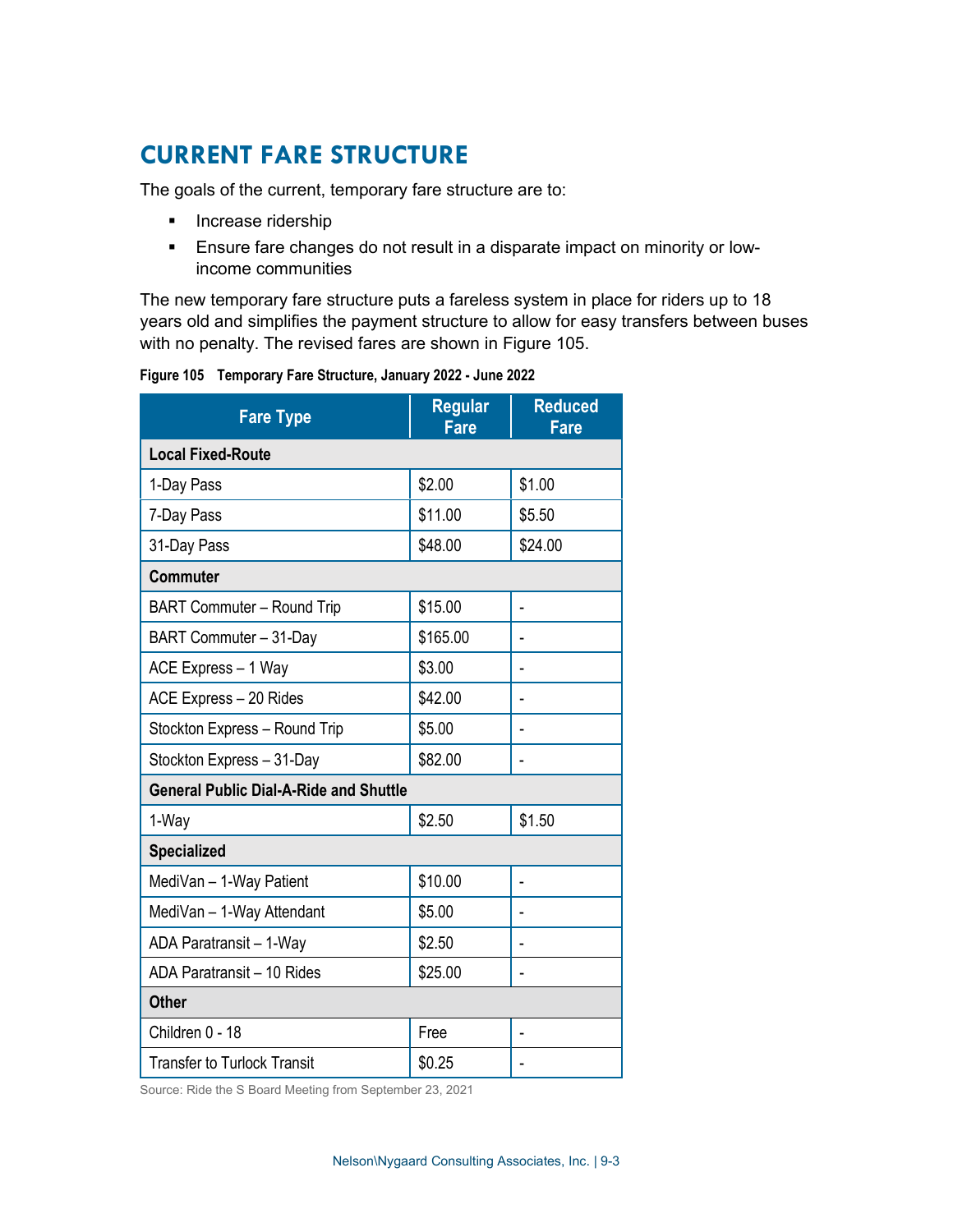## **CURRENT FARE STRUCTURE**

The goals of the current, temporary fare structure are to:

- **Increase ridership**
- Ensure fare changes do not result in a disparate impact on minority or lowincome communities

The new temporary fare structure puts a fareless system in place for riders up to 18 years old and simplifies the payment structure to allow for easy transfers between buses with no penalty. The revised fares are shown in [Figure 105.](#page-2-0)

<span id="page-2-0"></span>

|  | Figure 105 Temporary Fare Structure, January 2022 - June 2022 |  |
|--|---------------------------------------------------------------|--|
|--|---------------------------------------------------------------|--|

| <b>Fare Type</b>                              | <b>Regular</b><br>Fare | <b>Reduced</b><br><b>Fare</b> |  |  |  |  |
|-----------------------------------------------|------------------------|-------------------------------|--|--|--|--|
| <b>Local Fixed-Route</b>                      |                        |                               |  |  |  |  |
| 1-Day Pass                                    | \$2.00                 | \$1.00                        |  |  |  |  |
| 7-Day Pass                                    | \$11.00                | \$5.50                        |  |  |  |  |
| 31-Day Pass                                   | \$48.00                | \$24.00                       |  |  |  |  |
| <b>Commuter</b>                               |                        |                               |  |  |  |  |
| <b>BART Commuter - Round Trip</b>             | \$15.00                | ä,                            |  |  |  |  |
| BART Commuter - 31-Day                        | \$165.00               |                               |  |  |  |  |
| ACE Express - 1 Way                           | \$3.00                 |                               |  |  |  |  |
| ACE Express - 20 Rides                        | \$42.00                |                               |  |  |  |  |
| Stockton Express - Round Trip                 | \$5.00                 |                               |  |  |  |  |
| Stockton Express - 31-Day                     | \$82.00                |                               |  |  |  |  |
| <b>General Public Dial-A-Ride and Shuttle</b> |                        |                               |  |  |  |  |
| 1-Way                                         | \$2.50                 | \$1.50                        |  |  |  |  |
| <b>Specialized</b>                            |                        |                               |  |  |  |  |
| MediVan - 1-Way Patient                       | \$10.00                |                               |  |  |  |  |
| MediVan - 1-Way Attendant                     | \$5.00                 |                               |  |  |  |  |
| ADA Paratransit - 1-Way                       | \$2.50                 |                               |  |  |  |  |
| ADA Paratransit - 10 Rides                    | \$25.00                |                               |  |  |  |  |
| <b>Other</b>                                  |                        |                               |  |  |  |  |
| Children 0 - 18                               | Free                   |                               |  |  |  |  |
| <b>Transfer to Turlock Transit</b>            | \$0.25                 |                               |  |  |  |  |

Source: Ride the S Board Meeting from September 23, 2021